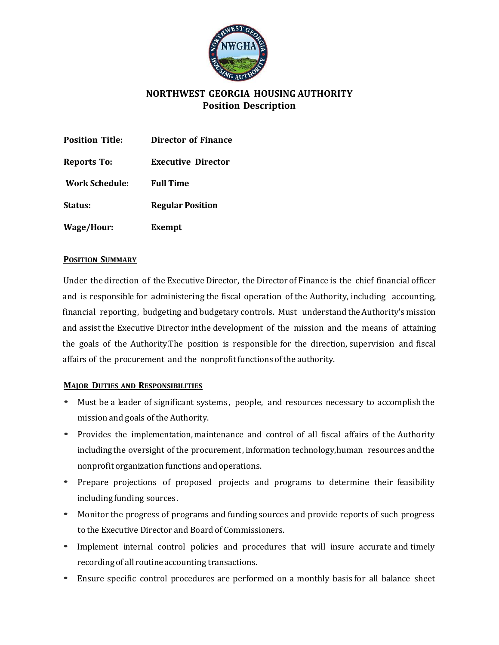

# **NORTHWEST GEORGIA HOUSING AUTHORITY Position Description**

| <b>Position Title:</b> | Director of Finance       |
|------------------------|---------------------------|
| Reports To:            | <b>Executive Director</b> |
| <b>Work Schedule:</b>  | <b>Full Time</b>          |
| Status:                | <b>Regular Position</b>   |
| <b>Wage/Hour:</b>      | Exempt                    |

# **POSITION SUMMARY**

Under the direction of the Executive Director, the Director of Finance is the chief financial officer and is responsible for administering the fiscal operation of the Authority, including accounting, financial reporting, budgeting and budgetary controls. Must understand the Authority's mission and assist the Executive Director inthe development of the mission and the means of attaining the goals of the Authority. The position is responsible for the direction, supervision and fiscal affairs of the procurement and the nonprofitfunctions ofthe authority.

# **MAJOR DUTIES AND RESPONSIBILITIES**

- Must be a leader of significant systems, people, and resources necessary to accomplish the mission and goals ofthe Authority.
- Provides the implementation, maintenance and control of all fiscal affairs of the Authority including the oversight of the procurement, information technology,human resources andthe nonprofit organization functions and operations.
- Prepare projections of proposed projects and programs to determine their feasibility including funding sources.
- Monitor the progress of programs and funding sources and provide reports of such progress to the Executive Director and Boardof Commissioners.
- Implement internal control policies and procedures that will insure accurate and timely recording of all routine accounting transactions.
- Ensure specific control procedures are performed on a monthly basis for all balance sheet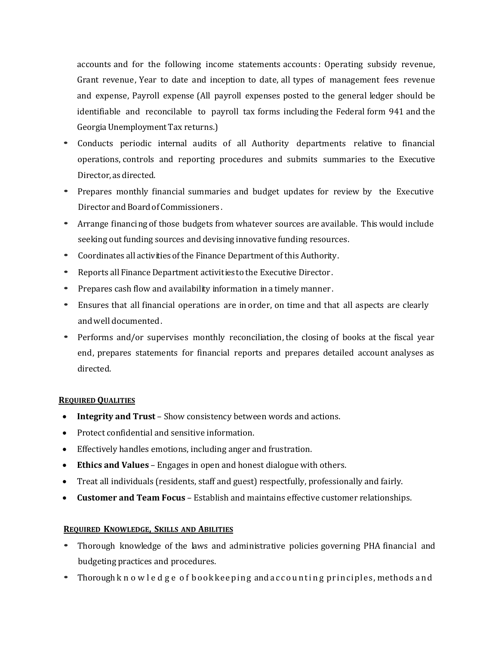accounts and for the following income statements accounts : Operating subsidy revenue, Grant revenue, Year to date and inception to date, all types of management fees revenue and expense, Payroll expense (All payroll expenses posted to the general ledger should be identifiable and reconcilable to payroll tax forms including the Federal form 941 and the GeorgiaUnemployment Tax returns.)

- Conducts periodic internal audits of all Authority departments relative to financial operations, controls and reporting procedures and submits summaries to the Executive Director,as directed.
- Prepares monthly financial summaries and budget updates for review by the Executive Director and BoardofCommissioners .
- Arrange financing of those budgets from whatever sources are available. This would include seeking out funding sources and devising innovative funding resources.
- Coordinates all activities of the Finance Department of this Authority.
- Reports all Finance Department activities to the Executive Director.
- Prepares cash flow and availability information in <sup>a</sup> timely manner.
- Ensures that all financial operations are in order, on time and that all aspects are clearly andwell documented.
- Performs and/or supervises monthly reconciliation,the closing of books at the fiscal year end, prepares statements for financial reports and prepares detailed account analyses as directed.

### **REQUIRED QUALITIES**

- **Integrity and Trust** Show consistency between words and actions.
- Protect confidential and sensitive information.
- Effectively handles emotions, including anger and frustration.
- **Ethics and Values** Engages in open and honest dialogue with others.
- Treat all individuals (residents, staff and guest) respectfully, professionally and fairly.
- **Customer and Team Focus** Establish and maintains effective customer relationships.

# **REQUIRED KNOWLEDGE, SKILLS AND ABILITIES**

- Thorough knowledge of the laws and administrative policies governing PHA financial and budgeting practices and procedures.
- Thorough k n o w l e d g e of bookkeeping and a c counting principles, methods and